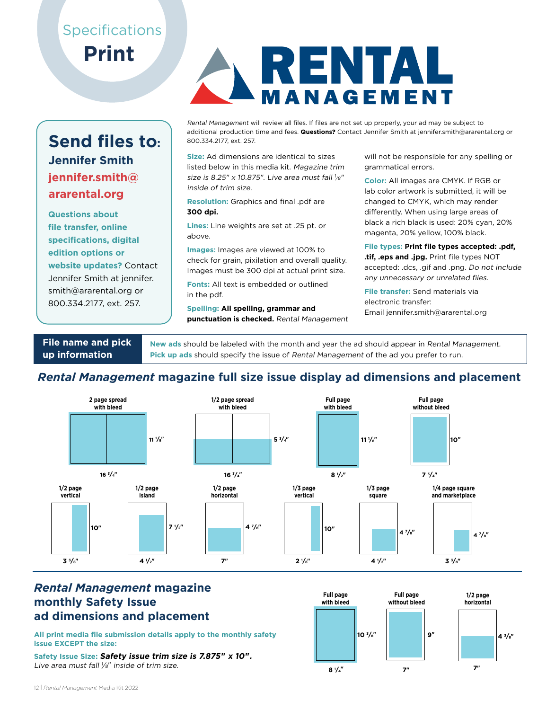## **Specifications Print**

## **Send files to: Jennifer Smith jennifer.smith@ ararental.org**

**Questions about file transfer, online specifications, digital edition options or website updates?** Contact Jennifer Smith at jennifer. smith@ararental.org or 800.334.2177, ext. 257.



Rental Management will review all files. If files are not set up properly, your ad may be subject to additional production time and fees. **Questions?** Contact Jennifer Smith at jennifer.smith@ararental.org or 800.334.2177, ext. 257.

**Size:** Ad dimensions are identical to sizes listed below in this media kit. Magazine trim size is 8.25" x 10.875". Live area must fall  $\frac{1}{8}$ " inside of trim size.

**Resolution:** Graphics and final .pdf are **300 dpi.**

**Lines:** Line weights are set at .25 pt. or above.

**Images:** Images are viewed at 100% to check for grain, pixilation and overall quality. Images must be 300 dpi at actual print size.

**Fonts:** All text is embedded or outlined in the pdf.

**Spelling: All spelling, grammar and punctuation is checked.** Rental Management will not be responsible for any spelling or grammatical errors.

**Color:** All images are CMYK. If RGB or lab color artwork is submitted, it will be changed to CMYK, which may render differently. When using large areas of black a rich black is used: 20% cyan, 20% magenta, 20% yellow, 100% black.

**File types: Print file types accepted: .pdf, .tif, .eps and .jpg.** Print file types NOT accepted: .dcs, .gif and .png. Do not include any unnecessary or unrelated files.

**File transfer:** Send materials via electronic transfer: Email jennifer.smith@ararental.org

**File name and pick up information** 

**New ads** should be labeled with the month and year the ad should appear in Rental Management. **Pick up ads** should specify the issue of Rental Management of the ad you prefer to run.

### *Rental Management* **magazine full size issue display ad dimensions and placement**



#### *Rental Management* **magazine monthly Safety Issue ad dimensions and placement**

**10 <sup>3</sup> All print media file submission details apply to the monthly safety /8" issue EXCEPT the size:**

**Safety Issue Size: Safety issue trim size is 7.875" x 10".** Live area must fall  $\mathcal{V} s''$  inside of trim size.